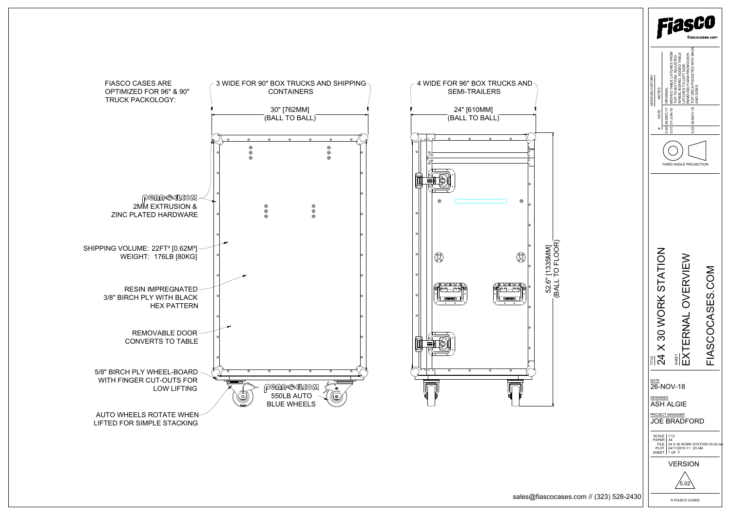